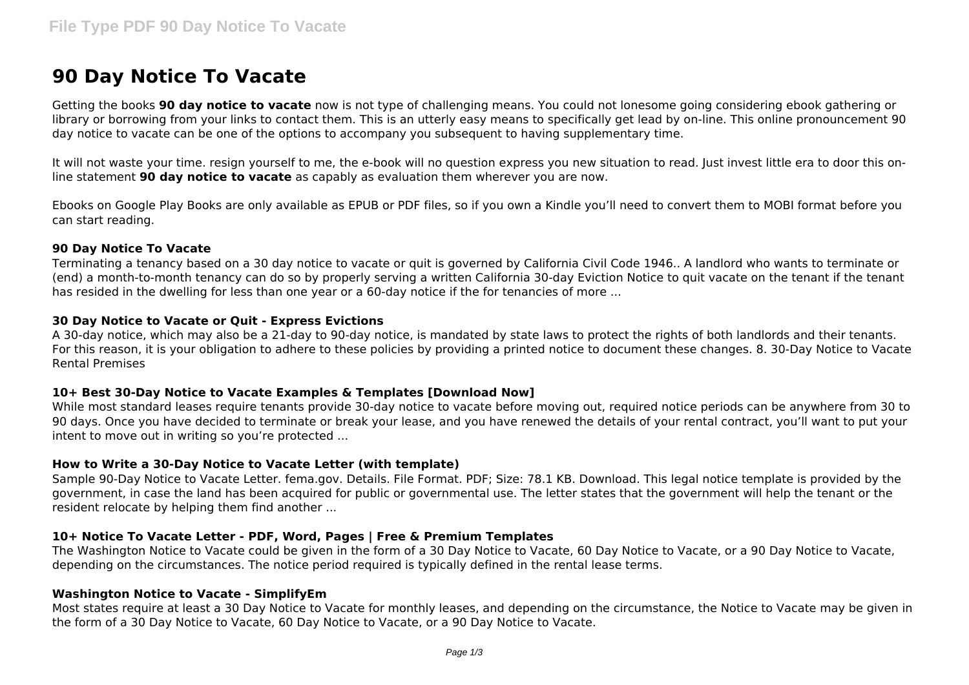# **90 Day Notice To Vacate**

Getting the books **90 day notice to vacate** now is not type of challenging means. You could not lonesome going considering ebook gathering or library or borrowing from your links to contact them. This is an utterly easy means to specifically get lead by on-line. This online pronouncement 90 day notice to vacate can be one of the options to accompany you subsequent to having supplementary time.

It will not waste your time. resign yourself to me, the e-book will no question express you new situation to read. Just invest little era to door this online statement **90 day notice to vacate** as capably as evaluation them wherever you are now.

Ebooks on Google Play Books are only available as EPUB or PDF files, so if you own a Kindle you'll need to convert them to MOBI format before you can start reading.

#### **90 Day Notice To Vacate**

Terminating a tenancy based on a 30 day notice to vacate or quit is governed by California Civil Code 1946.. A landlord who wants to terminate or (end) a month-to-month tenancy can do so by properly serving a written California 30-day Eviction Notice to quit vacate on the tenant if the tenant has resided in the dwelling for less than one year or a 60-day notice if the for tenancies of more ...

## **30 Day Notice to Vacate or Quit - Express Evictions**

A 30-day notice, which may also be a 21-day to 90-day notice, is mandated by state laws to protect the rights of both landlords and their tenants. For this reason, it is your obligation to adhere to these policies by providing a printed notice to document these changes. 8. 30-Day Notice to Vacate Rental Premises

### **10+ Best 30-Day Notice to Vacate Examples & Templates [Download Now]**

While most standard leases require tenants provide 30-day notice to vacate before moving out, required notice periods can be anywhere from 30 to 90 days. Once you have decided to terminate or break your lease, and you have renewed the details of your rental contract, you'll want to put your intent to move out in writing so you're protected ...

### **How to Write a 30-Day Notice to Vacate Letter (with template)**

Sample 90-Day Notice to Vacate Letter. fema.gov. Details. File Format. PDF; Size: 78.1 KB. Download. This legal notice template is provided by the government, in case the land has been acquired for public or governmental use. The letter states that the government will help the tenant or the resident relocate by helping them find another ...

### **10+ Notice To Vacate Letter - PDF, Word, Pages | Free & Premium Templates**

The Washington Notice to Vacate could be given in the form of a 30 Day Notice to Vacate, 60 Day Notice to Vacate, or a 90 Day Notice to Vacate, depending on the circumstances. The notice period required is typically defined in the rental lease terms.

### **Washington Notice to Vacate - SimplifyEm**

Most states require at least a 30 Day Notice to Vacate for monthly leases, and depending on the circumstance, the Notice to Vacate may be given in the form of a 30 Day Notice to Vacate, 60 Day Notice to Vacate, or a 90 Day Notice to Vacate.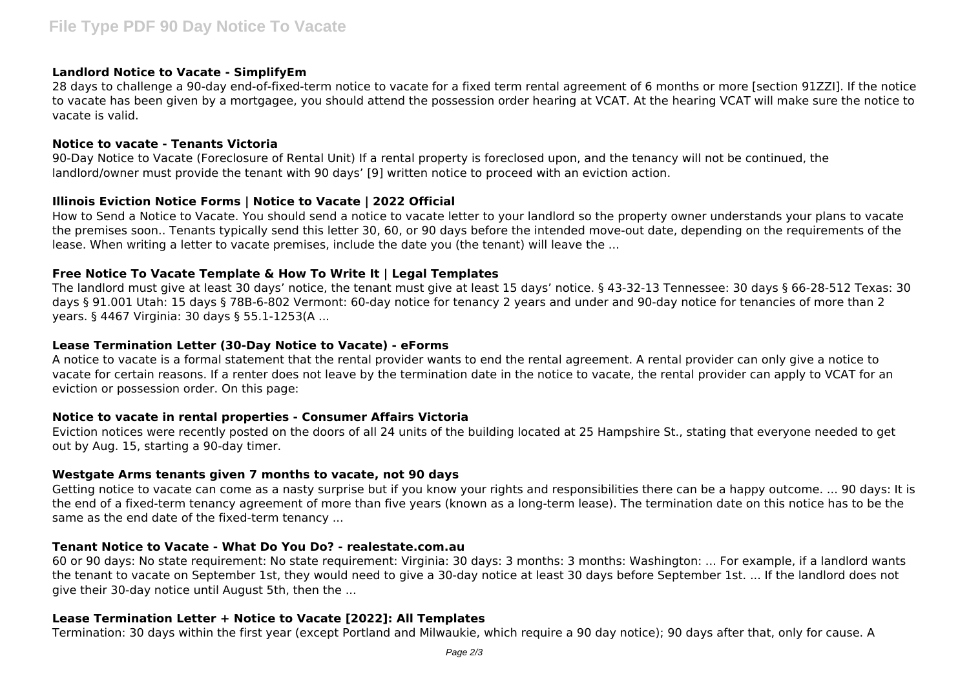#### **Landlord Notice to Vacate - SimplifyEm**

28 days to challenge a 90-day end-of-fixed-term notice to vacate for a fixed term rental agreement of 6 months or more [section 91ZZI]. If the notice to vacate has been given by a mortgagee, you should attend the possession order hearing at VCAT. At the hearing VCAT will make sure the notice to vacate is valid.

#### **Notice to vacate - Tenants Victoria**

90-Day Notice to Vacate (Foreclosure of Rental Unit) If a rental property is foreclosed upon, and the tenancy will not be continued, the landlord/owner must provide the tenant with 90 days' [9] written notice to proceed with an eviction action.

### **Illinois Eviction Notice Forms | Notice to Vacate | 2022 Official**

How to Send a Notice to Vacate. You should send a notice to vacate letter to your landlord so the property owner understands your plans to vacate the premises soon.. Tenants typically send this letter 30, 60, or 90 days before the intended move-out date, depending on the requirements of the lease. When writing a letter to vacate premises, include the date you (the tenant) will leave the ...

## **Free Notice To Vacate Template & How To Write It | Legal Templates**

The landlord must give at least 30 days' notice, the tenant must give at least 15 days' notice. § 43-32-13 Tennessee: 30 days § 66-28-512 Texas: 30 days § 91.001 Utah: 15 days § 78B-6-802 Vermont: 60-day notice for tenancy 2 years and under and 90-day notice for tenancies of more than 2 years. § 4467 Virginia: 30 days § 55.1-1253(A ...

#### **Lease Termination Letter (30-Day Notice to Vacate) - eForms**

A notice to vacate is a formal statement that the rental provider wants to end the rental agreement. A rental provider can only give a notice to vacate for certain reasons. If a renter does not leave by the termination date in the notice to vacate, the rental provider can apply to VCAT for an eviction or possession order. On this page:

### **Notice to vacate in rental properties - Consumer Affairs Victoria**

Eviction notices were recently posted on the doors of all 24 units of the building located at 25 Hampshire St., stating that everyone needed to get out by Aug. 15, starting a 90-day timer.

### **Westgate Arms tenants given 7 months to vacate, not 90 days**

Getting notice to vacate can come as a nasty surprise but if you know your rights and responsibilities there can be a happy outcome. ... 90 days: It is the end of a fixed-term tenancy agreement of more than five years (known as a long-term lease). The termination date on this notice has to be the same as the end date of the fixed-term tenancy ...

### **Tenant Notice to Vacate - What Do You Do? - realestate.com.au**

60 or 90 days: No state requirement: No state requirement: Virginia: 30 days: 3 months: 3 months: Washington: ... For example, if a landlord wants the tenant to vacate on September 1st, they would need to give a 30-day notice at least 30 days before September 1st. ... If the landlord does not give their 30-day notice until August 5th, then the ...

### **Lease Termination Letter + Notice to Vacate [2022]: All Templates**

Termination: 30 days within the first year (except Portland and Milwaukie, which require a 90 day notice); 90 days after that, only for cause. A